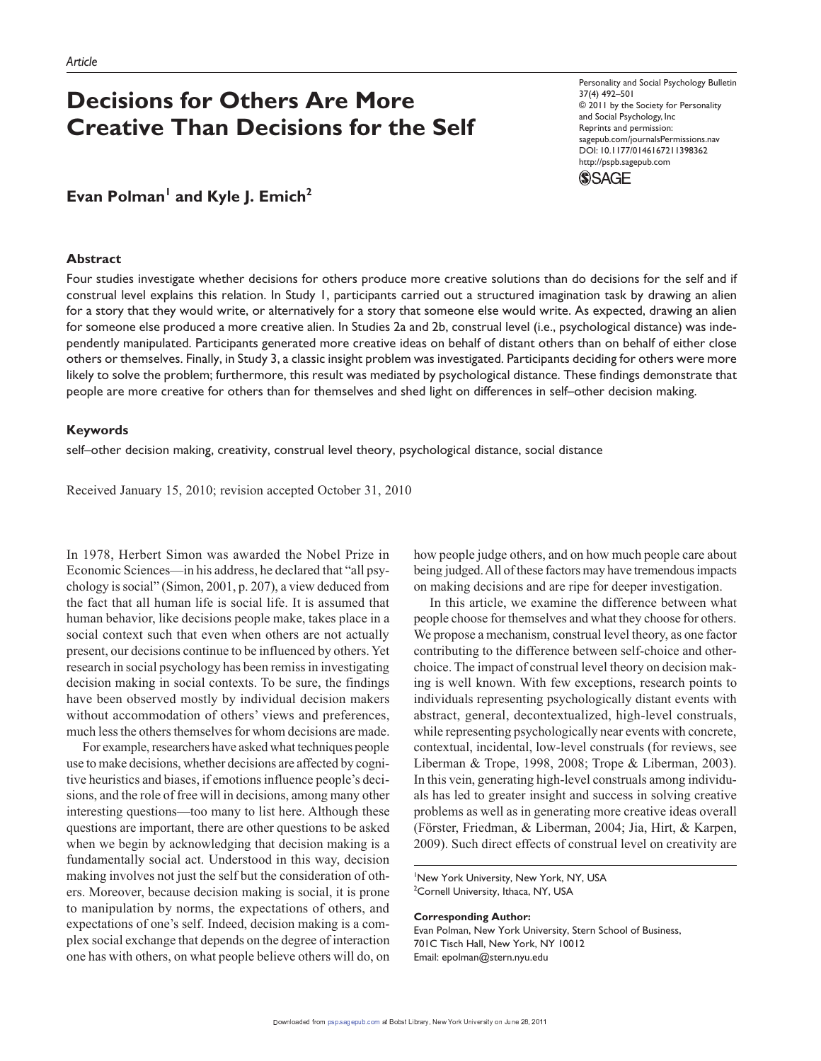# **Decisions for Others Are More Creative Than Decisions for the Self**

**Evan Polman<sup>1</sup> and Kyle J. Emich<sup>2</sup>**

#### **Abstract**

Personality and Social Psychology Bulletin 37(4) 492 –501 © 2011 by the Society for Personality and Social Psychology, Inc Reprints and permission: sagepub.com/journalsPermissions.nav DOI: 10.1177/0146167211398362 http://pspb.sagepub.com **SSAGE** 

Four studies investigate whether decisions for others produce more creative solutions than do decisions for the self and if construal level explains this relation. In Study 1, participants carried out a structured imagination task by drawing an alien for a story that they would write, or alternatively for a story that someone else would write. As expected, drawing an alien for someone else produced a more creative alien. In Studies 2a and 2b, construal level (i.e., psychological distance) was independently manipulated. Participants generated more creative ideas on behalf of distant others than on behalf of either close others or themselves. Finally, in Study 3, a classic insight problem was investigated. Participants deciding for others were more likely to solve the problem; furthermore, this result was mediated by psychological distance. These findings demonstrate that people are more creative for others than for themselves and shed light on differences in self–other decision making.

#### **Keywords**

self–other decision making, creativity, construal level theory, psychological distance, social distance

Received January 15, 2010; revision accepted October 31, 2010

In 1978, Herbert Simon was awarded the Nobel Prize in Economic Sciences—in his address, he declared that "all psychology is social" (Simon, 2001, p. 207), a view deduced from the fact that all human life is social life. It is assumed that human behavior, like decisions people make, takes place in a social context such that even when others are not actually present, our decisions continue to be influenced by others. Yet research in social psychology has been remiss in investigating decision making in social contexts. To be sure, the findings have been observed mostly by individual decision makers without accommodation of others' views and preferences, much less the others themselves for whom decisions are made.

For example, researchers have asked what techniques people use to make decisions, whether decisions are affected by cognitive heuristics and biases, if emotions influence people's decisions, and the role of free will in decisions, among many other interesting questions—too many to list here. Although these questions are important, there are other questions to be asked when we begin by acknowledging that decision making is a fundamentally social act. Understood in this way, decision making involves not just the self but the consideration of others. Moreover, because decision making is social, it is prone to manipulation by norms, the expectations of others, and expectations of one's self. Indeed, decision making is a complex social exchange that depends on the degree of interaction one has with others, on what people believe others will do, on how people judge others, and on how much people care about being judged. All of these factors may have tremendous impacts on making decisions and are ripe for deeper investigation.

In this article, we examine the difference between what people choose for themselves and what they choose for others. We propose a mechanism, construal level theory, as one factor contributing to the difference between self-choice and otherchoice. The impact of construal level theory on decision making is well known. With few exceptions, research points to individuals representing psychologically distant events with abstract, general, decontextualized, high-level construals, while representing psychologically near events with concrete, contextual, incidental, low-level construals (for reviews, see Liberman & Trope, 1998, 2008; Trope & Liberman, 2003). In this vein, generating high-level construals among individuals has led to greater insight and success in solving creative problems as well as in generating more creative ideas overall (Förster, Friedman, & Liberman, 2004; Jia, Hirt, & Karpen, 2009). Such direct effects of construal level on creativity are

<sup>1</sup>New York University, New York, NY, USA <sup>2</sup>Cornell University, Ithaca, NY, USA

#### **Corresponding Author:**

Evan Polman, New York University, Stern School of Business, 701C Tisch Hall, New York, NY 10012 Email: epolman@stern.nyu.edu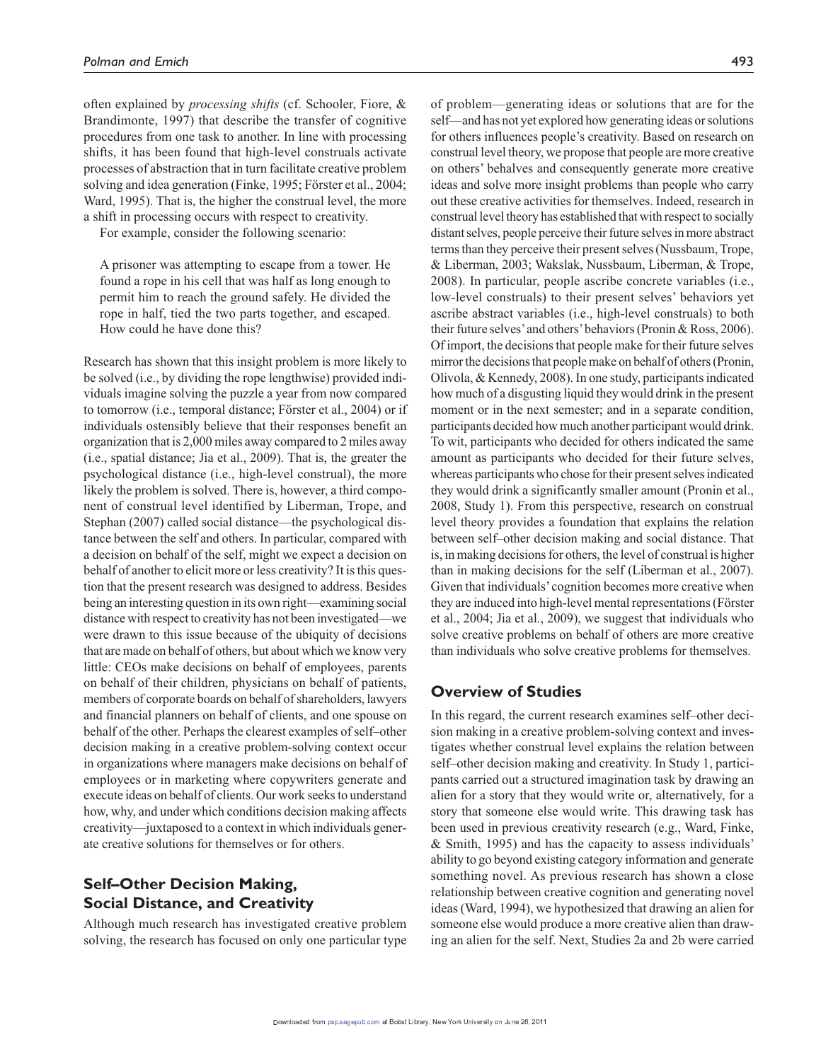often explained by *processing shifts* (cf. Schooler, Fiore, & Brandimonte, 1997) that describe the transfer of cognitive procedures from one task to another. In line with processing shifts, it has been found that high-level construals activate processes of abstraction that in turn facilitate creative problem solving and idea generation (Finke, 1995; Förster et al., 2004; Ward, 1995). That is, the higher the construal level, the more a shift in processing occurs with respect to creativity.

For example, consider the following scenario:

A prisoner was attempting to escape from a tower. He found a rope in his cell that was half as long enough to permit him to reach the ground safely. He divided the rope in half, tied the two parts together, and escaped. How could he have done this?

Research has shown that this insight problem is more likely to be solved (i.e., by dividing the rope lengthwise) provided individuals imagine solving the puzzle a year from now compared to tomorrow (i.e., temporal distance; Förster et al., 2004) or if individuals ostensibly believe that their responses benefit an organization that is 2,000 miles away compared to 2 miles away (i.e., spatial distance; Jia et al., 2009). That is, the greater the psychological distance (i.e., high-level construal), the more likely the problem is solved. There is, however, a third component of construal level identified by Liberman, Trope, and Stephan (2007) called social distance—the psychological distance between the self and others. In particular, compared with a decision on behalf of the self, might we expect a decision on behalf of another to elicit more or less creativity? It is this question that the present research was designed to address. Besides being an interesting question in its own right—examining social distance with respect to creativity has not been investigated—we were drawn to this issue because of the ubiquity of decisions that are made on behalf of others, but about which we know very little: CEOs make decisions on behalf of employees, parents on behalf of their children, physicians on behalf of patients, members of corporate boards on behalf of shareholders, lawyers and financial planners on behalf of clients, and one spouse on behalf of the other. Perhaps the clearest examples of self–other decision making in a creative problem-solving context occur in organizations where managers make decisions on behalf of employees or in marketing where copywriters generate and execute ideas on behalf of clients. Our work seeks to understand how, why, and under which conditions decision making affects creativity—juxtaposed to a context in which individuals generate creative solutions for themselves or for others.

# **Self–Other Decision Making, Social Distance, and Creativity**

Although much research has investigated creative problem solving, the research has focused on only one particular type

of problem—generating ideas or solutions that are for the self—and has not yet explored how generating ideas or solutions for others influences people's creativity. Based on research on construal level theory, we propose that people are more creative on others' behalves and consequently generate more creative ideas and solve more insight problems than people who carry out these creative activities for themselves. Indeed, research in construal level theory has established that with respect to socially distant selves, people perceive their future selves in more abstract terms than they perceive their present selves (Nussbaum, Trope, & Liberman, 2003; Wakslak, Nussbaum, Liberman, & Trope, 2008). In particular, people ascribe concrete variables (i.e., low-level construals) to their present selves' behaviors yet ascribe abstract variables (i.e., high-level construals) to both their future selves' and others' behaviors (Pronin & Ross, 2006). Of import, the decisions that people make for their future selves mirror the decisions that people make on behalf of others (Pronin, Olivola, & Kennedy, 2008). In one study, participants indicated how much of a disgusting liquid they would drink in the present moment or in the next semester; and in a separate condition, participants decided how much another participant would drink. To wit, participants who decided for others indicated the same amount as participants who decided for their future selves, whereas participants who chose for their present selves indicated they would drink a significantly smaller amount (Pronin et al., 2008, Study 1). From this perspective, research on construal level theory provides a foundation that explains the relation between self–other decision making and social distance. That is, in making decisions for others, the level of construal is higher than in making decisions for the self (Liberman et al., 2007). Given that individuals' cognition becomes more creative when they are induced into high-level mental representations (Förster et al., 2004; Jia et al., 2009), we suggest that individuals who solve creative problems on behalf of others are more creative than individuals who solve creative problems for themselves.

## **Overview of Studies**

In this regard, the current research examines self–other decision making in a creative problem-solving context and investigates whether construal level explains the relation between self–other decision making and creativity. In Study 1, participants carried out a structured imagination task by drawing an alien for a story that they would write or, alternatively, for a story that someone else would write. This drawing task has been used in previous creativity research (e.g., Ward, Finke, & Smith, 1995) and has the capacity to assess individuals' ability to go beyond existing category information and generate something novel. As previous research has shown a close relationship between creative cognition and generating novel ideas (Ward, 1994), we hypothesized that drawing an alien for someone else would produce a more creative alien than drawing an alien for the self. Next, Studies 2a and 2b were carried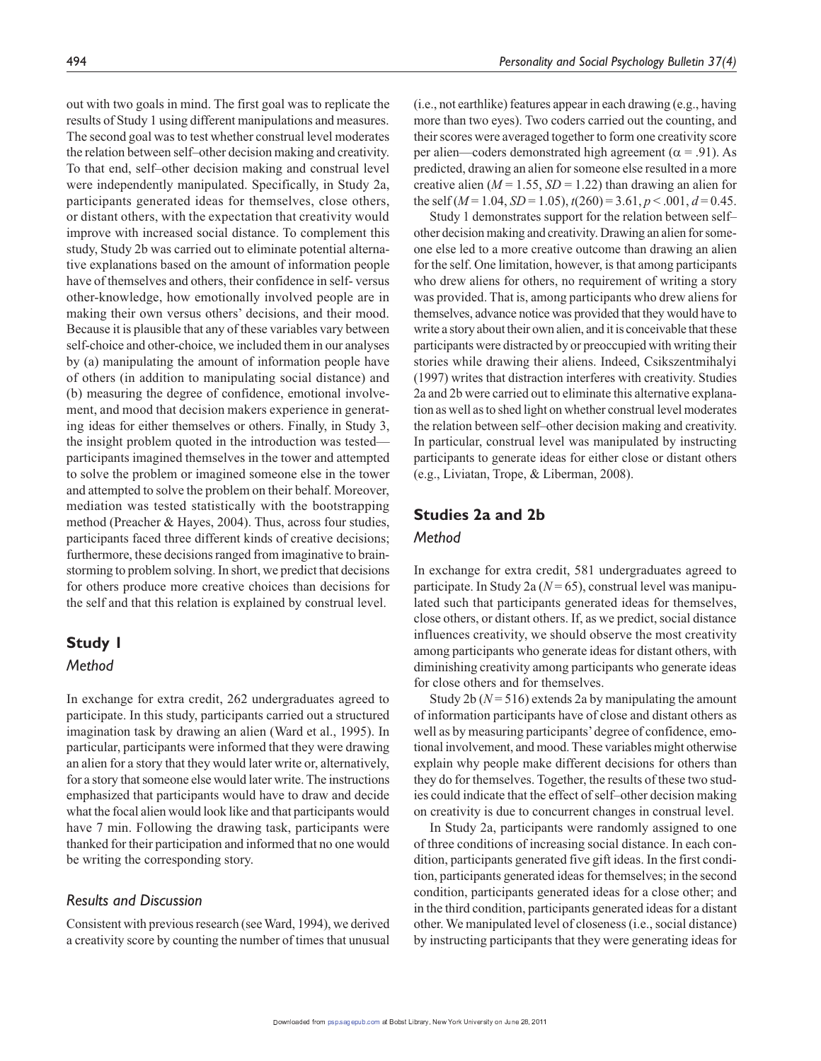out with two goals in mind. The first goal was to replicate the results of Study 1 using different manipulations and measures. The second goal was to test whether construal level moderates the relation between self–other decision making and creativity. To that end, self–other decision making and construal level were independently manipulated. Specifically, in Study 2a, participants generated ideas for themselves, close others, or distant others, with the expectation that creativity would improve with increased social distance. To complement this study, Study 2b was carried out to eliminate potential alternative explanations based on the amount of information people have of themselves and others, their confidence in self- versus other-knowledge, how emotionally involved people are in making their own versus others' decisions, and their mood. Because it is plausible that any of these variables vary between self-choice and other-choice, we included them in our analyses by (a) manipulating the amount of information people have of others (in addition to manipulating social distance) and (b) measuring the degree of confidence, emotional involvement, and mood that decision makers experience in generating ideas for either themselves or others. Finally, in Study 3, the insight problem quoted in the introduction was tested participants imagined themselves in the tower and attempted to solve the problem or imagined someone else in the tower and attempted to solve the problem on their behalf. Moreover, mediation was tested statistically with the bootstrapping method (Preacher & Hayes, 2004). Thus, across four studies, participants faced three different kinds of creative decisions; furthermore, these decisions ranged from imaginative to brainstorming to problem solving. In short, we predict that decisions for others produce more creative choices than decisions for the self and that this relation is explained by construal level.

# **Study 1**

# *Method*

In exchange for extra credit, 262 undergraduates agreed to participate. In this study, participants carried out a structured imagination task by drawing an alien (Ward et al., 1995). In particular, participants were informed that they were drawing an alien for a story that they would later write or, alternatively, for a story that someone else would later write. The instructions emphasized that participants would have to draw and decide what the focal alien would look like and that participants would have 7 min. Following the drawing task, participants were thanked for their participation and informed that no one would be writing the corresponding story.

## *Results and Discussion*

Consistent with previous research (see Ward, 1994), we derived a creativity score by counting the number of times that unusual (i.e., not earthlike) features appear in each drawing (e.g., having more than two eyes). Two coders carried out the counting, and their scores were averaged together to form one creativity score per alien—coders demonstrated high agreement ( $\alpha$  = .91). As predicted, drawing an alien for someone else resulted in a more creative alien ( $M = 1.55$ ,  $SD = 1.22$ ) than drawing an alien for the self ( $M = 1.04$ ,  $SD = 1.05$ ),  $t(260) = 3.61$ ,  $p < .001$ ,  $d = 0.45$ .

Study 1 demonstrates support for the relation between self– other decision making and creativity. Drawing an alien for someone else led to a more creative outcome than drawing an alien for the self. One limitation, however, is that among participants who drew aliens for others, no requirement of writing a story was provided. That is, among participants who drew aliens for themselves, advance notice was provided that they would have to write a story about their own alien, and it is conceivable that these participants were distracted by or preoccupied with writing their stories while drawing their aliens. Indeed, Csikszentmihalyi (1997) writes that distraction interferes with creativity. Studies 2a and 2b were carried out to eliminate this alternative explanation as well as to shed light on whether construal level moderates the relation between self–other decision making and creativity. In particular, construal level was manipulated by instructing participants to generate ideas for either close or distant others (e.g., Liviatan, Trope, & Liberman, 2008).

# **Studies 2a and 2b** *Method*

In exchange for extra credit, 581 undergraduates agreed to participate. In Study 2a ( $N = 65$ ), construal level was manipulated such that participants generated ideas for themselves, close others, or distant others. If, as we predict, social distance influences creativity, we should observe the most creativity among participants who generate ideas for distant others, with diminishing creativity among participants who generate ideas for close others and for themselves.

Study 2b ( $N = 516$ ) extends 2a by manipulating the amount of information participants have of close and distant others as well as by measuring participants' degree of confidence, emotional involvement, and mood. These variables might otherwise explain why people make different decisions for others than they do for themselves. Together, the results of these two studies could indicate that the effect of self–other decision making on creativity is due to concurrent changes in construal level.

In Study 2a, participants were randomly assigned to one of three conditions of increasing social distance. In each condition, participants generated five gift ideas. In the first condition, participants generated ideas for themselves; in the second condition, participants generated ideas for a close other; and in the third condition, participants generated ideas for a distant other. We manipulated level of closeness (i.e., social distance) by instructing participants that they were generating ideas for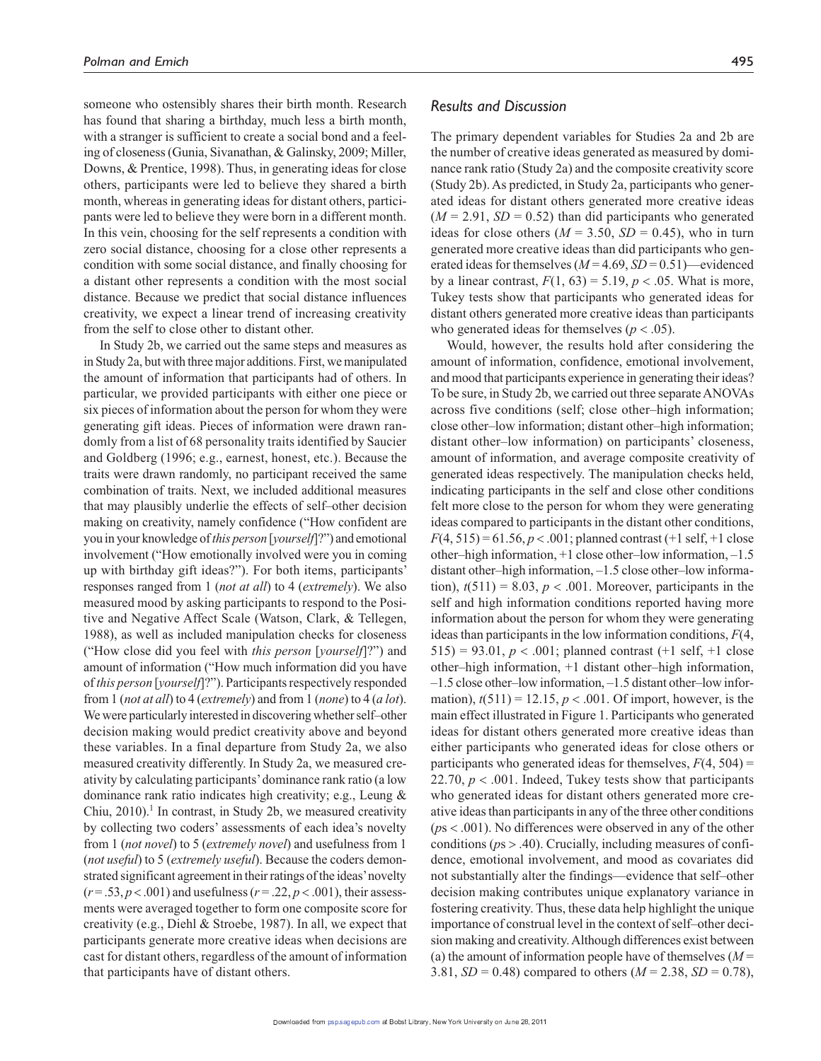someone who ostensibly shares their birth month. Research has found that sharing a birthday, much less a birth month, with a stranger is sufficient to create a social bond and a feeling of closeness (Gunia, Sivanathan, & Galinsky, 2009; Miller, Downs, & Prentice, 1998). Thus, in generating ideas for close others, participants were led to believe they shared a birth month, whereas in generating ideas for distant others, participants were led to believe they were born in a different month. In this vein, choosing for the self represents a condition with zero social distance, choosing for a close other represents a condition with some social distance, and finally choosing for a distant other represents a condition with the most social distance. Because we predict that social distance influences creativity, we expect a linear trend of increasing creativity from the self to close other to distant other.

In Study 2b, we carried out the same steps and measures as in Study 2a, but with three major additions. First, we manipulated the amount of information that participants had of others. In particular, we provided participants with either one piece or six pieces of information about the person for whom they were generating gift ideas. Pieces of information were drawn randomly from a list of 68 personality traits identified by Saucier and Goldberg (1996; e.g., earnest, honest, etc.). Because the traits were drawn randomly, no participant received the same combination of traits. Next, we included additional measures that may plausibly underlie the effects of self–other decision making on creativity, namely confidence ("How confident are you in your knowledge of *this person* [*yourself*]?") and emotional involvement ("How emotionally involved were you in coming up with birthday gift ideas?"). For both items, participants' responses ranged from 1 (*not at all*) to 4 (*extremely*). We also measured mood by asking participants to respond to the Positive and Negative Affect Scale (Watson, Clark, & Tellegen, 1988), as well as included manipulation checks for closeness ("How close did you feel with *this person* [*yourself*]?") and amount of information ("How much information did you have of *this person* [*yourself*]?"). Participants respectively responded from 1 (*not at all*) to 4 (*extremely*) and from 1 (*none*) to 4 (*a lot*). We were particularly interested in discovering whether self–other decision making would predict creativity above and beyond these variables. In a final departure from Study 2a, we also measured creativity differently. In Study 2a, we measured creativity by calculating participants' dominance rank ratio (a low dominance rank ratio indicates high creativity; e.g., Leung & Chiu,  $2010$ .<sup>1</sup> In contrast, in Study 2b, we measured creativity by collecting two coders' assessments of each idea's novelty from 1 (*not novel*) to 5 (*extremely novel*) and usefulness from 1 (*not useful*) to 5 (*extremely useful*). Because the coders demonstrated significant agreement in their ratings of the ideas' novelty  $(r = .53, p < .001)$  and usefulness  $(r = .22, p < .001)$ , their assessments were averaged together to form one composite score for creativity (e.g., Diehl & Stroebe, 1987). In all, we expect that participants generate more creative ideas when decisions are cast for distant others, regardless of the amount of information that participants have of distant others.

## *Results and Discussion*

The primary dependent variables for Studies 2a and 2b are the number of creative ideas generated as measured by dominance rank ratio (Study 2a) and the composite creativity score (Study 2b). As predicted, in Study 2a, participants who generated ideas for distant others generated more creative ideas  $(M = 2.91, SD = 0.52)$  than did participants who generated ideas for close others  $(M = 3.50, SD = 0.45)$ , who in turn generated more creative ideas than did participants who generated ideas for themselves (*M* = 4.69, *SD* = 0.51)—evidenced by a linear contrast,  $F(1, 63) = 5.19$ ,  $p < .05$ . What is more, Tukey tests show that participants who generated ideas for distant others generated more creative ideas than participants who generated ideas for themselves ( $p < .05$ ).

Would, however, the results hold after considering the amount of information, confidence, emotional involvement, and mood that participants experience in generating their ideas? To be sure, in Study 2b, we carried out three separate ANOVAs across five conditions (self; close other–high information; close other–low information; distant other–high information; distant other–low information) on participants' closeness, amount of information, and average composite creativity of generated ideas respectively. The manipulation checks held, indicating participants in the self and close other conditions felt more close to the person for whom they were generating ideas compared to participants in the distant other conditions,  $F(4, 515) = 61.56, p < .001$ ; planned contrast (+1 self, +1 close other–high information, +1 close other–low information, –1.5 distant other–high information, –1.5 close other–low information),  $t(511) = 8.03$ ,  $p < .001$ . Moreover, participants in the self and high information conditions reported having more information about the person for whom they were generating ideas than participants in the low information conditions, *F*(4,  $515$ ) = 93.01,  $p < .001$ ; planned contrast (+1 self, +1 close other–high information, +1 distant other–high information, –1.5 close other–low information, –1.5 distant other–low information),  $t(511) = 12.15$ ,  $p < .001$ . Of import, however, is the main effect illustrated in Figure 1. Participants who generated ideas for distant others generated more creative ideas than either participants who generated ideas for close others or participants who generated ideas for themselves,  $F(4, 504) =$ 22.70,  $p < .001$ . Indeed, Tukey tests show that participants who generated ideas for distant others generated more creative ideas than participants in any of the three other conditions  $(ps < .001)$ . No differences were observed in any of the other conditions ( $p_s$  > .40). Crucially, including measures of confidence, emotional involvement, and mood as covariates did not substantially alter the findings—evidence that self–other decision making contributes unique explanatory variance in fostering creativity. Thus, these data help highlight the unique importance of construal level in the context of self–other decision making and creativity. Although differences exist between (a) the amount of information people have of themselves  $(M =$ 3.81,  $SD = 0.48$ ) compared to others ( $M = 2.38$ ,  $SD = 0.78$ ),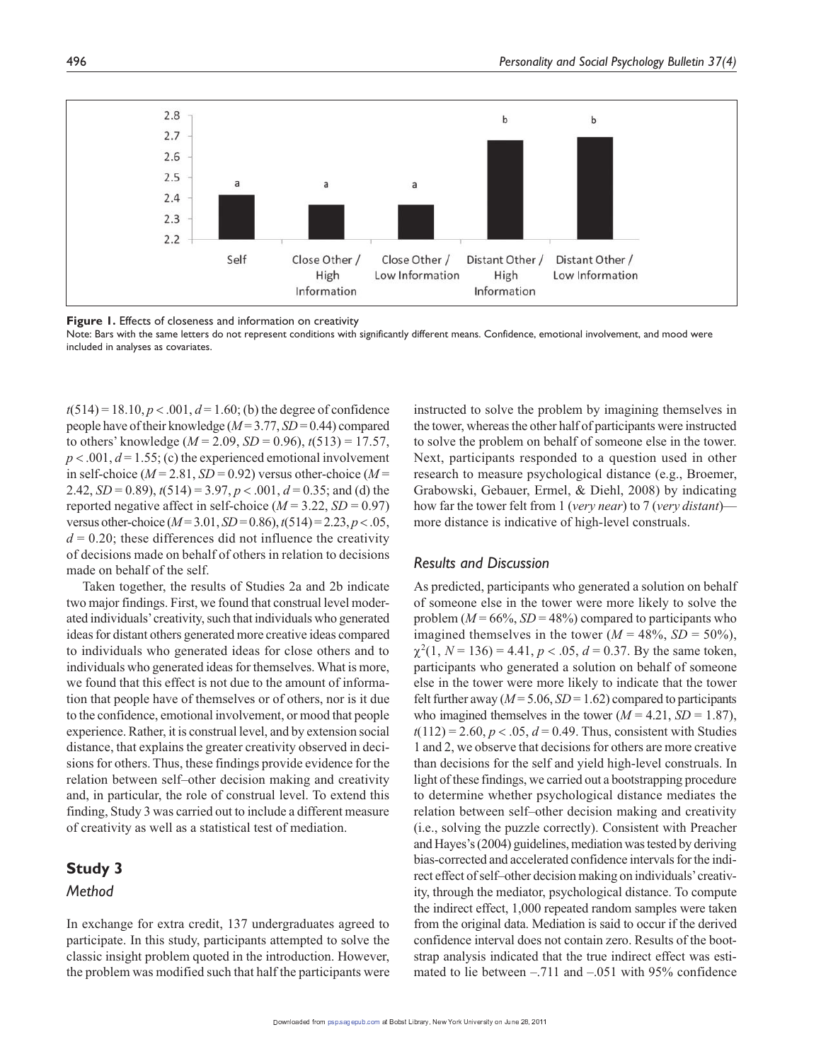

**Figure 1.** Effects of closeness and information on creativity

Note: Bars with the same letters do not represent conditions with significantly different means. Confidence, emotional involvement, and mood were included in analyses as covariates.

 $t(514) = 18.10, p < .001, d = 1.60$ ; (b) the degree of confidence people have of their knowledge (*M* = 3.77, *SD* = 0.44) compared to others' knowledge (*M* = 2.09, *SD* = 0.96), *t*(513) = 17.57,  $p < .001, d = 1.55$ ; (c) the experienced emotional involvement in self-choice ( $M = 2.81$ ,  $SD = 0.92$ ) versus other-choice ( $M =$ 2.42, *SD* = 0.89),  $t(514) = 3.97$ ,  $p < .001$ ,  $d = 0.35$ ; and (d) the reported negative affect in self-choice  $(M = 3.22, SD = 0.97)$ versus other-choice ( $M = 3.01$ ,  $SD = 0.86$ ),  $t(514) = 2.23$ ,  $p < .05$ ,  $d = 0.20$ ; these differences did not influence the creativity of decisions made on behalf of others in relation to decisions made on behalf of the self.

Taken together, the results of Studies 2a and 2b indicate two major findings. First, we found that construal level moderated individuals' creativity, such that individuals who generated ideas for distant others generated more creative ideas compared to individuals who generated ideas for close others and to individuals who generated ideas for themselves. What is more, we found that this effect is not due to the amount of information that people have of themselves or of others, nor is it due to the confidence, emotional involvement, or mood that people experience. Rather, it is construal level, and by extension social distance, that explains the greater creativity observed in decisions for others. Thus, these findings provide evidence for the relation between self–other decision making and creativity and, in particular, the role of construal level. To extend this finding, Study 3 was carried out to include a different measure of creativity as well as a statistical test of mediation.

# **Study 3**

# *Method*

In exchange for extra credit, 137 undergraduates agreed to participate. In this study, participants attempted to solve the classic insight problem quoted in the introduction. However, the problem was modified such that half the participants were instructed to solve the problem by imagining themselves in the tower, whereas the other half of participants were instructed to solve the problem on behalf of someone else in the tower. Next, participants responded to a question used in other research to measure psychological distance (e.g., Broemer, Grabowski, Gebauer, Ermel, & Diehl, 2008) by indicating how far the tower felt from 1 (*very near*) to 7 (*very distant*) more distance is indicative of high-level construals.

## *Results and Discussion*

As predicted, participants who generated a solution on behalf of someone else in the tower were more likely to solve the problem  $(M = 66\%, SD = 48\%)$  compared to participants who imagined themselves in the tower ( $M = 48\%$ ,  $SD = 50\%$ ),  $\chi^2(1, N = 136) = 4.41, p < .05, d = 0.37$ . By the same token, participants who generated a solution on behalf of someone else in the tower were more likely to indicate that the tower felt further away ( $M = 5.06$ ,  $SD = 1.62$ ) compared to participants who imagined themselves in the tower  $(M = 4.21, SD = 1.87)$ ,  $t(112) = 2.60, p < .05, d = 0.49$ . Thus, consistent with Studies 1 and 2, we observe that decisions for others are more creative than decisions for the self and yield high-level construals. In light of these findings, we carried out a bootstrapping procedure to determine whether psychological distance mediates the relation between self–other decision making and creativity (i.e., solving the puzzle correctly). Consistent with Preacher and Hayes's (2004) guidelines, mediation was tested by deriving bias-corrected and accelerated confidence intervals for the indirect effect of self–other decision making on individuals' creativity, through the mediator, psychological distance. To compute the indirect effect, 1,000 repeated random samples were taken from the original data. Mediation is said to occur if the derived confidence interval does not contain zero. Results of the bootstrap analysis indicated that the true indirect effect was estimated to lie between –.711 and –.051 with 95% confidence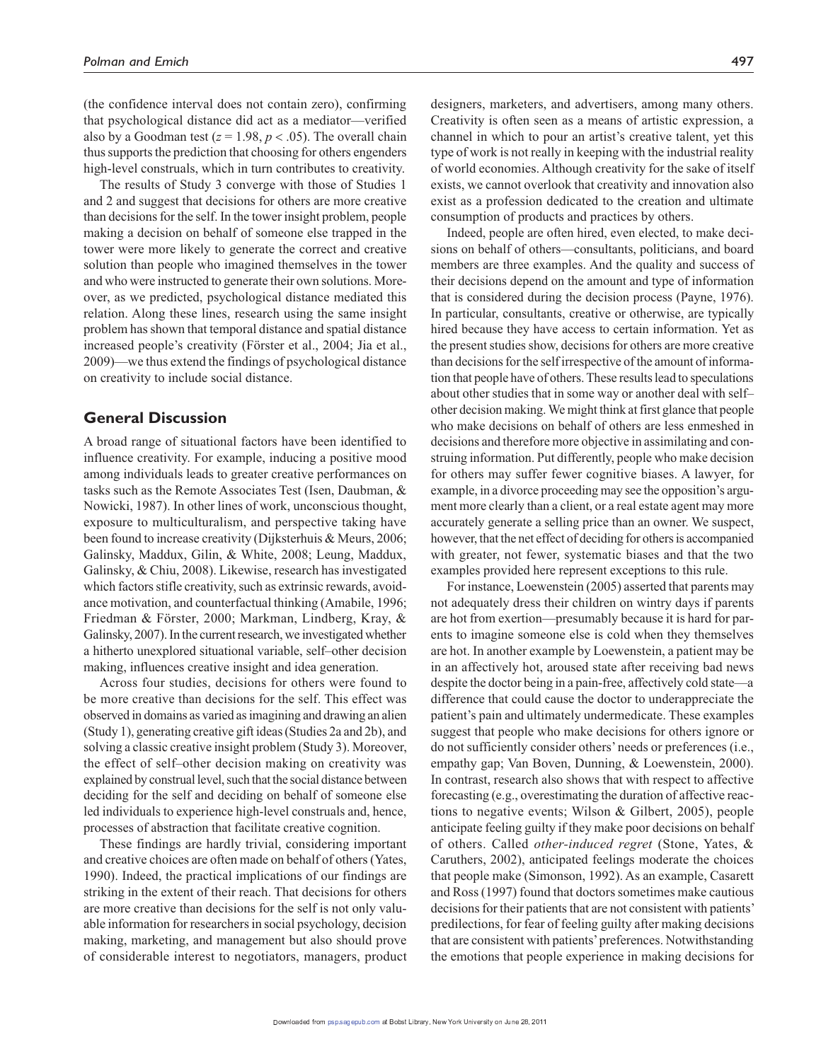(the confidence interval does not contain zero), confirming that psychological distance did act as a mediator—verified also by a Goodman test  $(z = 1.98, p < .05)$ . The overall chain thus supports the prediction that choosing for others engenders high-level construals, which in turn contributes to creativity.

The results of Study 3 converge with those of Studies 1 and 2 and suggest that decisions for others are more creative than decisions for the self. In the tower insight problem, people making a decision on behalf of someone else trapped in the tower were more likely to generate the correct and creative solution than people who imagined themselves in the tower and who were instructed to generate their own solutions. Moreover, as we predicted, psychological distance mediated this relation. Along these lines, research using the same insight problem has shown that temporal distance and spatial distance increased people's creativity (Förster et al., 2004; Jia et al., 2009)—we thus extend the findings of psychological distance on creativity to include social distance.

# **General Discussion**

A broad range of situational factors have been identified to influence creativity. For example, inducing a positive mood among individuals leads to greater creative performances on tasks such as the Remote Associates Test (Isen, Daubman, & Nowicki, 1987). In other lines of work, unconscious thought, exposure to multiculturalism, and perspective taking have been found to increase creativity (Dijksterhuis & Meurs, 2006; Galinsky, Maddux, Gilin, & White, 2008; Leung, Maddux, Galinsky, & Chiu, 2008). Likewise, research has investigated which factors stifle creativity, such as extrinsic rewards, avoidance motivation, and counterfactual thinking (Amabile, 1996; Friedman & Förster, 2000; Markman, Lindberg, Kray, & Galinsky, 2007). In the current research, we investigated whether a hitherto unexplored situational variable, self–other decision making, influences creative insight and idea generation.

Across four studies, decisions for others were found to be more creative than decisions for the self. This effect was observed in domains as varied as imagining and drawing an alien (Study 1), generating creative gift ideas (Studies 2a and 2b), and solving a classic creative insight problem (Study 3). Moreover, the effect of self–other decision making on creativity was explained by construal level, such that the social distance between deciding for the self and deciding on behalf of someone else led individuals to experience high-level construals and, hence, processes of abstraction that facilitate creative cognition.

These findings are hardly trivial, considering important and creative choices are often made on behalf of others (Yates, 1990). Indeed, the practical implications of our findings are striking in the extent of their reach. That decisions for others are more creative than decisions for the self is not only valuable information for researchers in social psychology, decision making, marketing, and management but also should prove of considerable interest to negotiators, managers, product designers, marketers, and advertisers, among many others. Creativity is often seen as a means of artistic expression, a channel in which to pour an artist's creative talent, yet this type of work is not really in keeping with the industrial reality of world economies. Although creativity for the sake of itself exists, we cannot overlook that creativity and innovation also exist as a profession dedicated to the creation and ultimate consumption of products and practices by others.

Indeed, people are often hired, even elected, to make decisions on behalf of others—consultants, politicians, and board members are three examples. And the quality and success of their decisions depend on the amount and type of information that is considered during the decision process (Payne, 1976). In particular, consultants, creative or otherwise, are typically hired because they have access to certain information. Yet as the present studies show, decisions for others are more creative than decisions for the self irrespective of the amount of information that people have of others. These results lead to speculations about other studies that in some way or another deal with self– other decision making. We might think at first glance that people who make decisions on behalf of others are less enmeshed in decisions and therefore more objective in assimilating and construing information. Put differently, people who make decision for others may suffer fewer cognitive biases. A lawyer, for example, in a divorce proceeding may see the opposition's argument more clearly than a client, or a real estate agent may more accurately generate a selling price than an owner. We suspect, however, that the net effect of deciding for others is accompanied with greater, not fewer, systematic biases and that the two examples provided here represent exceptions to this rule.

For instance, Loewenstein (2005) asserted that parents may not adequately dress their children on wintry days if parents are hot from exertion—presumably because it is hard for parents to imagine someone else is cold when they themselves are hot. In another example by Loewenstein, a patient may be in an affectively hot, aroused state after receiving bad news despite the doctor being in a pain-free, affectively cold state—a difference that could cause the doctor to underappreciate the patient's pain and ultimately undermedicate. These examples suggest that people who make decisions for others ignore or do not sufficiently consider others' needs or preferences (i.e., empathy gap; Van Boven, Dunning, & Loewenstein, 2000). In contrast, research also shows that with respect to affective forecasting (e.g., overestimating the duration of affective reactions to negative events; Wilson & Gilbert, 2005), people anticipate feeling guilty if they make poor decisions on behalf of others. Called *other-induced regret* (Stone, Yates, & Caruthers, 2002), anticipated feelings moderate the choices that people make (Simonson, 1992). As an example, Casarett and Ross (1997) found that doctors sometimes make cautious decisions for their patients that are not consistent with patients' predilections, for fear of feeling guilty after making decisions that are consistent with patients' preferences. Notwithstanding the emotions that people experience in making decisions for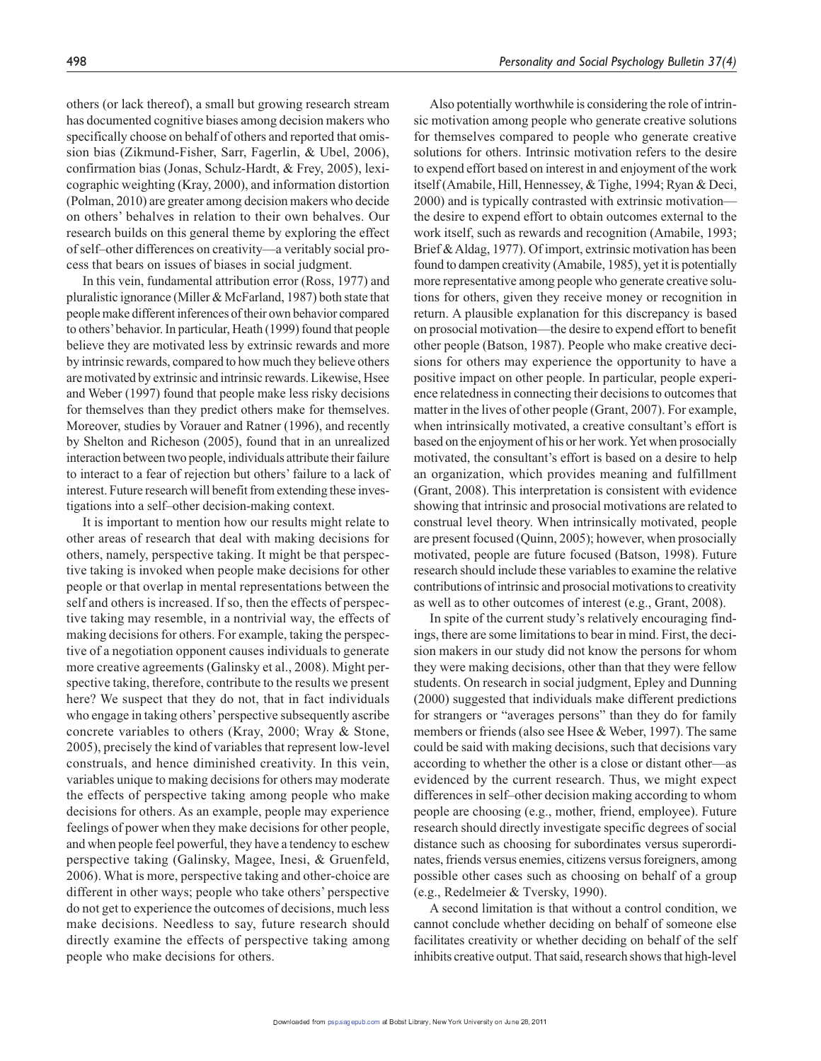others (or lack thereof), a small but growing research stream has documented cognitive biases among decision makers who specifically choose on behalf of others and reported that omission bias (Zikmund-Fisher, Sarr, Fagerlin, & Ubel, 2006), confirmation bias (Jonas, Schulz-Hardt, & Frey, 2005), lexicographic weighting (Kray, 2000), and information distortion (Polman, 2010) are greater among decision makers who decide on others' behalves in relation to their own behalves. Our research builds on this general theme by exploring the effect of self–other differences on creativity—a veritably social process that bears on issues of biases in social judgment.

In this vein, fundamental attribution error (Ross, 1977) and pluralistic ignorance (Miller & McFarland, 1987) both state that people make different inferences of their own behavior compared to others' behavior. In particular, Heath (1999) found that people believe they are motivated less by extrinsic rewards and more by intrinsic rewards, compared to how much they believe others are motivated by extrinsic and intrinsic rewards. Likewise, Hsee and Weber (1997) found that people make less risky decisions for themselves than they predict others make for themselves. Moreover, studies by Vorauer and Ratner (1996), and recently by Shelton and Richeson (2005), found that in an unrealized interaction between two people, individuals attribute their failure to interact to a fear of rejection but others' failure to a lack of interest. Future research will benefit from extending these investigations into a self–other decision-making context.

It is important to mention how our results might relate to other areas of research that deal with making decisions for others, namely, perspective taking. It might be that perspective taking is invoked when people make decisions for other people or that overlap in mental representations between the self and others is increased. If so, then the effects of perspective taking may resemble, in a nontrivial way, the effects of making decisions for others. For example, taking the perspective of a negotiation opponent causes individuals to generate more creative agreements (Galinsky et al., 2008). Might perspective taking, therefore, contribute to the results we present here? We suspect that they do not, that in fact individuals who engage in taking others' perspective subsequently ascribe concrete variables to others (Kray, 2000; Wray & Stone, 2005), precisely the kind of variables that represent low-level construals, and hence diminished creativity. In this vein, variables unique to making decisions for others may moderate the effects of perspective taking among people who make decisions for others. As an example, people may experience feelings of power when they make decisions for other people, and when people feel powerful, they have a tendency to eschew perspective taking (Galinsky, Magee, Inesi, & Gruenfeld, 2006). What is more, perspective taking and other-choice are different in other ways; people who take others' perspective do not get to experience the outcomes of decisions, much less make decisions. Needless to say, future research should directly examine the effects of perspective taking among people who make decisions for others.

Also potentially worthwhile is considering the role of intrinsic motivation among people who generate creative solutions for themselves compared to people who generate creative solutions for others. Intrinsic motivation refers to the desire to expend effort based on interest in and enjoyment of the work itself (Amabile, Hill, Hennessey, & Tighe, 1994; Ryan & Deci, 2000) and is typically contrasted with extrinsic motivation the desire to expend effort to obtain outcomes external to the work itself, such as rewards and recognition (Amabile, 1993; Brief & Aldag, 1977). Of import, extrinsic motivation has been found to dampen creativity (Amabile, 1985), yet it is potentially more representative among people who generate creative solutions for others, given they receive money or recognition in return. A plausible explanation for this discrepancy is based on prosocial motivation—the desire to expend effort to benefit other people (Batson, 1987). People who make creative decisions for others may experience the opportunity to have a positive impact on other people. In particular, people experience relatedness in connecting their decisions to outcomes that matter in the lives of other people (Grant, 2007). For example, when intrinsically motivated, a creative consultant's effort is based on the enjoyment of his or her work. Yet when prosocially motivated, the consultant's effort is based on a desire to help an organization, which provides meaning and fulfillment (Grant, 2008). This interpretation is consistent with evidence showing that intrinsic and prosocial motivations are related to construal level theory. When intrinsically motivated, people are present focused (Quinn, 2005); however, when prosocially motivated, people are future focused (Batson, 1998). Future research should include these variables to examine the relative contributions of intrinsic and prosocial motivations to creativity as well as to other outcomes of interest (e.g., Grant, 2008).

In spite of the current study's relatively encouraging findings, there are some limitations to bear in mind. First, the decision makers in our study did not know the persons for whom they were making decisions, other than that they were fellow students. On research in social judgment, Epley and Dunning (2000) suggested that individuals make different predictions for strangers or "averages persons" than they do for family members or friends (also see Hsee & Weber, 1997). The same could be said with making decisions, such that decisions vary according to whether the other is a close or distant other—as evidenced by the current research. Thus, we might expect differences in self–other decision making according to whom people are choosing (e.g., mother, friend, employee). Future research should directly investigate specific degrees of social distance such as choosing for subordinates versus superordinates, friends versus enemies, citizens versus foreigners, among possible other cases such as choosing on behalf of a group (e.g., Redelmeier & Tversky, 1990).

A second limitation is that without a control condition, we cannot conclude whether deciding on behalf of someone else facilitates creativity or whether deciding on behalf of the self inhibits creative output. That said, research shows that high-level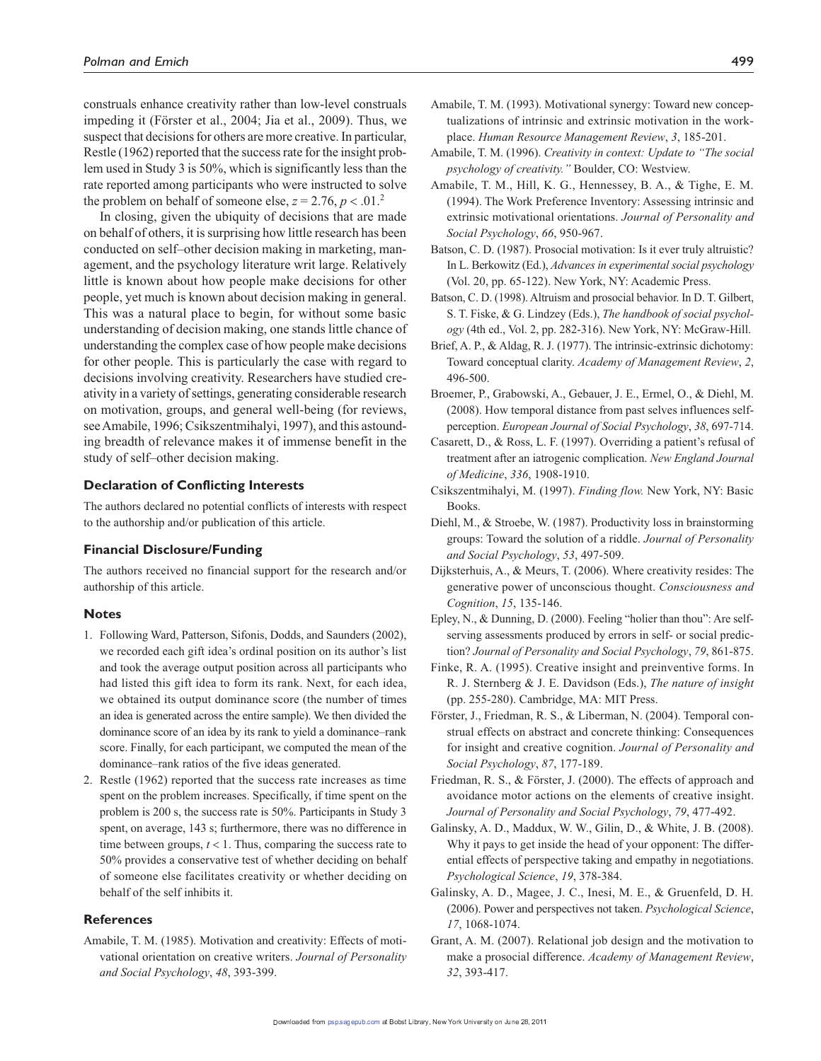construals enhance creativity rather than low-level construals impeding it (Förster et al., 2004; Jia et al., 2009). Thus, we suspect that decisions for others are more creative. In particular, Restle (1962) reported that the success rate for the insight problem used in Study 3 is 50%, which is significantly less than the rate reported among participants who were instructed to solve the problem on behalf of someone else,  $z = 2.76$ ,  $p < .01$ .

In closing, given the ubiquity of decisions that are made on behalf of others, it is surprising how little research has been conducted on self–other decision making in marketing, management, and the psychology literature writ large. Relatively little is known about how people make decisions for other people, yet much is known about decision making in general. This was a natural place to begin, for without some basic understanding of decision making, one stands little chance of understanding the complex case of how people make decisions for other people. This is particularly the case with regard to decisions involving creativity. Researchers have studied creativity in a variety of settings, generating considerable research on motivation, groups, and general well-being (for reviews, see Amabile, 1996; Csikszentmihalyi, 1997), and this astounding breadth of relevance makes it of immense benefit in the study of self–other decision making.

#### **Declaration of Conflicting Interests**

The authors declared no potential conflicts of interests with respect to the authorship and/or publication of this article.

#### **Financial Disclosure/Funding**

The authors received no financial support for the research and/or authorship of this article.

#### **Notes**

- 1. Following Ward, Patterson, Sifonis, Dodds, and Saunders (2002), we recorded each gift idea's ordinal position on its author's list and took the average output position across all participants who had listed this gift idea to form its rank. Next, for each idea, we obtained its output dominance score (the number of times an idea is generated across the entire sample). We then divided the dominance score of an idea by its rank to yield a dominance–rank score. Finally, for each participant, we computed the mean of the dominance–rank ratios of the five ideas generated.
- 2. Restle (1962) reported that the success rate increases as time spent on the problem increases. Specifically, if time spent on the problem is 200 s, the success rate is 50%. Participants in Study 3 spent, on average, 143 s; furthermore, there was no difference in time between groups,  $t < 1$ . Thus, comparing the success rate to 50% provides a conservative test of whether deciding on behalf of someone else facilitates creativity or whether deciding on behalf of the self inhibits it.

### **References**

Amabile, T. M. (1985). Motivation and creativity: Effects of motivational orientation on creative writers. *Journal of Personality and Social Psychology*, *48*, 393-399.

- Amabile, T. M. (1993). Motivational synergy: Toward new conceptualizations of intrinsic and extrinsic motivation in the workplace. *Human Resource Management Review*, *3*, 185-201.
- Amabile, T. M. (1996). *Creativity in context: Update to "The social psychology of creativity."* Boulder, CO: Westview.
- Amabile, T. M., Hill, K. G., Hennessey, B. A., & Tighe, E. M. (1994). The Work Preference Inventory: Assessing intrinsic and extrinsic motivational orientations. *Journal of Personality and Social Psychology*, *66*, 950-967.
- Batson, C. D. (1987). Prosocial motivation: Is it ever truly altruistic? In L. Berkowitz (Ed.), *Advances in experimental social psychology*  (Vol. 20, pp. 65-122). New York, NY: Academic Press.
- Batson, C. D. (1998). Altruism and prosocial behavior. In D. T. Gilbert, S. T. Fiske, & G. Lindzey (Eds.), *The handbook of social psychology* (4th ed., Vol. 2, pp. 282-316). New York, NY: McGraw-Hill.
- Brief, A. P., & Aldag, R. J. (1977). The intrinsic-extrinsic dichotomy: Toward conceptual clarity. *Academy of Management Review*, *2*, 496-500.
- Broemer, P., Grabowski, A., Gebauer, J. E., Ermel, O., & Diehl, M. (2008). How temporal distance from past selves influences selfperception. *European Journal of Social Psychology*, *38*, 697-714.
- Casarett, D., & Ross, L. F. (1997). Overriding a patient's refusal of treatment after an iatrogenic complication. *New England Journal of Medicine*, *336*, 1908-1910.
- Csikszentmihalyi, M. (1997). *Finding flow.* New York, NY: Basic Books.
- Diehl, M., & Stroebe, W. (1987). Productivity loss in brainstorming groups: Toward the solution of a riddle. *Journal of Personality and Social Psychology*, *53*, 497-509.
- Dijksterhuis, A., & Meurs, T. (2006). Where creativity resides: The generative power of unconscious thought. *Consciousness and Cognition*, *15*, 135-146.
- Epley, N., & Dunning, D. (2000). Feeling "holier than thou": Are selfserving assessments produced by errors in self- or social prediction? *Journal of Personality and Social Psychology*, *79*, 861-875.
- Finke, R. A. (1995). Creative insight and preinventive forms. In R. J. Sternberg & J. E. Davidson (Eds.), *The nature of insight* (pp. 255-280). Cambridge, MA: MIT Press.
- Förster, J., Friedman, R. S., & Liberman, N. (2004). Temporal construal effects on abstract and concrete thinking: Consequences for insight and creative cognition. *Journal of Personality and Social Psychology*, *87*, 177-189.
- Friedman, R. S., & Förster, J. (2000). The effects of approach and avoidance motor actions on the elements of creative insight. *Journal of Personality and Social Psychology*, *79*, 477-492.
- Galinsky, A. D., Maddux, W. W., Gilin, D., & White, J. B. (2008). Why it pays to get inside the head of your opponent: The differential effects of perspective taking and empathy in negotiations. *Psychological Science*, *19*, 378-384.
- Galinsky, A. D., Magee, J. C., Inesi, M. E., & Gruenfeld, D. H. (2006). Power and perspectives not taken. *Psychological Science*, *17*, 1068-1074.
- Grant, A. M. (2007). Relational job design and the motivation to make a prosocial difference. *Academy of Management Review*, *32*, 393-417.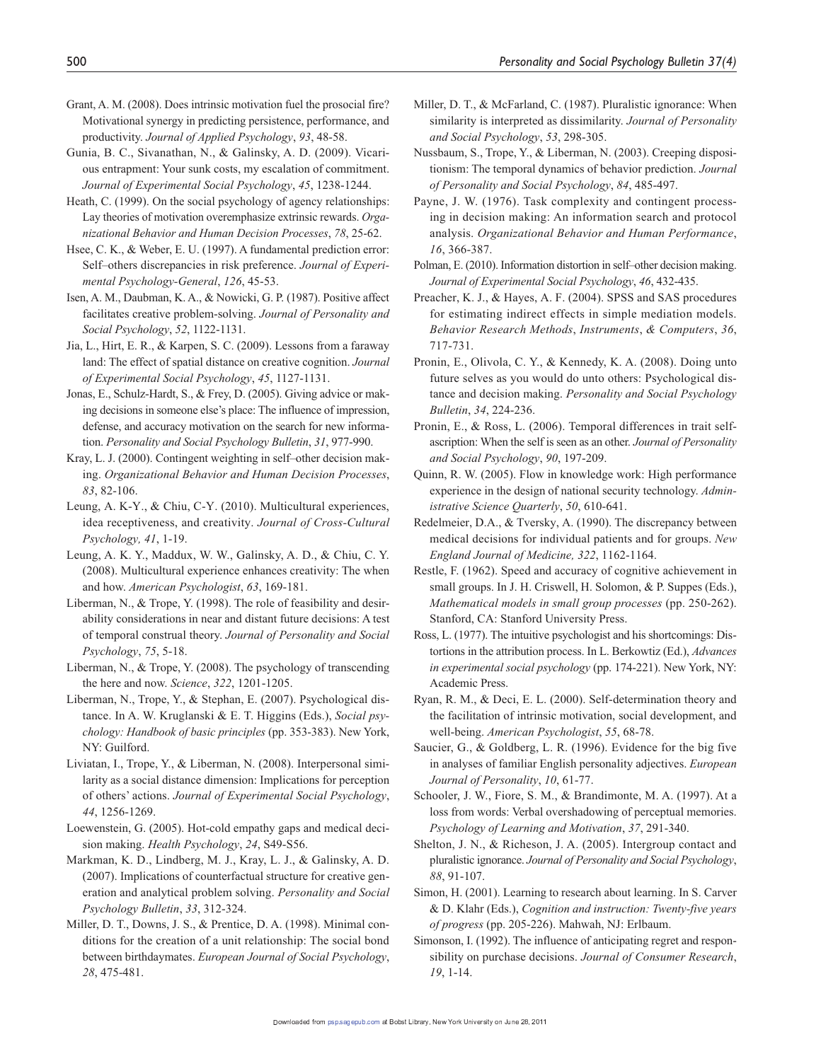- Grant, A. M. (2008). Does intrinsic motivation fuel the prosocial fire? Motivational synergy in predicting persistence, performance, and productivity. *Journal of Applied Psychology*, *93*, 48-58.
- Gunia, B. C., Sivanathan, N., & Galinsky, A. D. (2009). Vicarious entrapment: Your sunk costs, my escalation of commitment. *Journal of Experimental Social Psychology*, *45*, 1238-1244.
- Heath, C. (1999). On the social psychology of agency relationships: Lay theories of motivation overemphasize extrinsic rewards. *Organizational Behavior and Human Decision Processes*, *78*, 25-62.
- Hsee, C. K., & Weber, E. U. (1997). A fundamental prediction error: Self–others discrepancies in risk preference. *Journal of Experimental Psychology-General*, *126*, 45-53.
- Isen, A. M., Daubman, K. A., & Nowicki, G. P. (1987). Positive affect facilitates creative problem-solving. *Journal of Personality and Social Psychology*, *52*, 1122-1131.
- Jia, L., Hirt, E. R., & Karpen, S. C. (2009). Lessons from a faraway land: The effect of spatial distance on creative cognition. *Journal of Experimental Social Psychology*, *45*, 1127-1131.
- Jonas, E., Schulz-Hardt, S., & Frey, D. (2005). Giving advice or making decisions in someone else's place: The influence of impression, defense, and accuracy motivation on the search for new information. *Personality and Social Psychology Bulletin*, *31*, 977-990.
- Kray, L. J. (2000). Contingent weighting in self–other decision making. *Organizational Behavior and Human Decision Processes*, *83*, 82-106.
- Leung, A. K-Y., & Chiu, C-Y. (2010). Multicultural experiences, idea receptiveness, and creativity. *Journal of Cross-Cultural Psychology, 41*, 1-19.
- Leung, A. K. Y., Maddux, W. W., Galinsky, A. D., & Chiu, C. Y. (2008). Multicultural experience enhances creativity: The when and how. *American Psychologist*, *63*, 169-181.
- Liberman, N., & Trope, Y. (1998). The role of feasibility and desirability considerations in near and distant future decisions: A test of temporal construal theory. *Journal of Personality and Social Psychology*, *75*, 5-18.
- Liberman, N., & Trope, Y. (2008). The psychology of transcending the here and now. *Science*, *322*, 1201-1205.
- Liberman, N., Trope, Y., & Stephan, E. (2007). Psychological distance. In A. W. Kruglanski & E. T. Higgins (Eds.), *Social psychology: Handbook of basic principles* (pp. 353-383). New York, NY: Guilford.
- Liviatan, I., Trope, Y., & Liberman, N. (2008). Interpersonal similarity as a social distance dimension: Implications for perception of others' actions. *Journal of Experimental Social Psychology*, *44*, 1256-1269.
- Loewenstein, G. (2005). Hot-cold empathy gaps and medical decision making. *Health Psychology*, *24*, S49-S56.
- Markman, K. D., Lindberg, M. J., Kray, L. J., & Galinsky, A. D. (2007). Implications of counterfactual structure for creative generation and analytical problem solving. *Personality and Social Psychology Bulletin*, *33*, 312-324.
- Miller, D. T., Downs, J. S., & Prentice, D. A. (1998). Minimal conditions for the creation of a unit relationship: The social bond between birthdaymates. *European Journal of Social Psychology*, *28*, 475-481.
- Miller, D. T., & McFarland, C. (1987). Pluralistic ignorance: When similarity is interpreted as dissimilarity. *Journal of Personality and Social Psychology*, *53*, 298-305.
- Nussbaum, S., Trope, Y., & Liberman, N. (2003). Creeping dispositionism: The temporal dynamics of behavior prediction. *Journal of Personality and Social Psychology*, *84*, 485-497.
- Payne, J. W. (1976). Task complexity and contingent processing in decision making: An information search and protocol analysis. *Organizational Behavior and Human Performance*, *16*, 366-387.
- Polman, E. (2010). Information distortion in self–other decision making. *Journal of Experimental Social Psychology*, *46*, 432-435.
- Preacher, K. J., & Hayes, A. F. (2004). SPSS and SAS procedures for estimating indirect effects in simple mediation models. *Behavior Research Methods*, *Instruments*, *& Computers*, *36*, 717-731.
- Pronin, E., Olivola, C. Y., & Kennedy, K. A. (2008). Doing unto future selves as you would do unto others: Psychological distance and decision making. *Personality and Social Psychology Bulletin*, *34*, 224-236.
- Pronin, E., & Ross, L. (2006). Temporal differences in trait selfascription: When the self is seen as an other. *Journal of Personality and Social Psychology*, *90*, 197-209.
- Quinn, R. W. (2005). Flow in knowledge work: High performance experience in the design of national security technology. *Administrative Science Quarterly*, *50*, 610-641.
- Redelmeier, D.A., & Tversky, A. (1990). The discrepancy between medical decisions for individual patients and for groups. *New England Journal of Medicine, 322*, 1162-1164.
- Restle, F. (1962). Speed and accuracy of cognitive achievement in small groups. In J. H. Criswell, H. Solomon, & P. Suppes (Eds.), *Mathematical models in small group processes* (pp. 250-262). Stanford, CA: Stanford University Press.
- Ross, L. (1977). The intuitive psychologist and his shortcomings: Distortions in the attribution process. In L. Berkowtiz (Ed.), *Advances in experimental social psychology* (pp. 174-221). New York, NY: Academic Press.
- Ryan, R. M., & Deci, E. L. (2000). Self-determination theory and the facilitation of intrinsic motivation, social development, and well-being. *American Psychologist*, *55*, 68-78.
- Saucier, G., & Goldberg, L. R. (1996). Evidence for the big five in analyses of familiar English personality adjectives. *European Journal of Personality*, *10*, 61-77.
- Schooler, J. W., Fiore, S. M., & Brandimonte, M. A. (1997). At a loss from words: Verbal overshadowing of perceptual memories. *Psychology of Learning and Motivation*, *37*, 291-340.
- Shelton, J. N., & Richeson, J. A. (2005). Intergroup contact and pluralistic ignorance. *Journal of Personality and Social Psychology*, *88*, 91-107.
- Simon, H. (2001). Learning to research about learning. In S. Carver & D. Klahr (Eds.), *Cognition and instruction: Twenty-five years of progress* (pp. 205-226). Mahwah, NJ: Erlbaum.
- Simonson, I. (1992). The influence of anticipating regret and responsibility on purchase decisions. *Journal of Consumer Research*, *19*, 1-14.